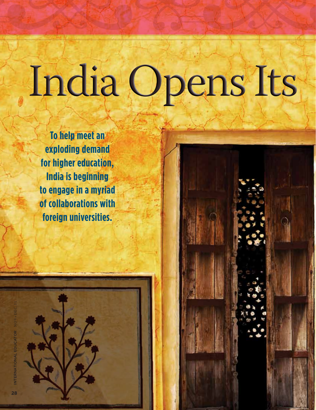# India Opens Its

**To help meet an exploding demand for higher education, India is beginning to engage in a myriad of collaborations with foreign universities.**



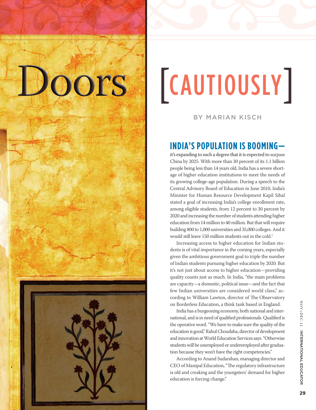## OOrs [cautiously]

By Marian Kisch

### **India's population is booming—**

it's expanding to such a degree that it is expected to surpass China by 2025. With more than 30 percent of its 1.1 billion people being less than 14 years old, India has a severe shortage of higher education institutions to meet the needs of its growing college-age population. During a speech to the Central Advisory Board of Education in June 2010, India's Minister for Human Resource Development Kapil Sibal stated a goal of increasing India's college enrollment rate, among eligible students, from 12 percent to 30 percent by 2020 and increasing the number of students attending higher education from 14 million to 40 million. But that will require building 800 to 1,000 universities and 35,000 colleges. And it would still leave 150 million students out in the cold.<sup>1</sup>

Increasing access to higher education for Indian students is of vital importance in the coming years, especially given the ambitious government goal to triple the number of Indian students pursuing higher education by 2020. But it's not just about access to higher education—providing quality counts just as much. In India, "the main problems are capacity—a domestic, political issue—and the fact that few Indian universities are considered world class," according to William Lawton, director of The Observatory on Borderless Education, a think tank based in England.

India has a burgeoning economy, both national and international, and is in need of qualified professionals. Qualified is the operative word. "We have to make sure the quality of the education is good," Rahul Choudaha, director of development and innovation at World Education Services says. "Otherwise students will be unemployed or underemployed after graduation because they won't have the right competencies."

According to Anand Sudarshan, managing director and CEO of Manipal Education, "The regulatory infrastructure is old and creaking and the youngsters' demand for higher education is forcing change."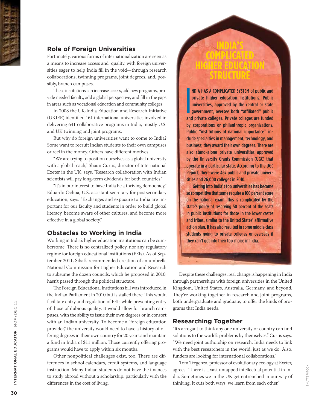

### **Role of Foreign Universities**

Fortunately, various forms of internationalization are seen as a means to increase access and quality, with foreign universities eager to help India fill in the void—through research collaborations, twinning programs, joint degrees, and, possibly, branch campuses.

These institutions can increase access, add new programs, provide needed faculty, add a global perspective, and fill in the gaps in areas such as vocational education and community colleges.

In 2008 the UK-India Education and Research Initiative (UKIER) identified 161 international universities involved in delivering 641 collaborative programs in India, mostly U.S. and UK twinning and joint programs.

But why do foreign universities want to come to India? Some want to recruit Indian students to their own campuses or reel in the money. Others have different motives.

"We are trying to position ourselves as a global university with a global reach," Shaun Curtis, director of International Exeter in the UK, says. "Research collaboration with Indian scientists will pay long-term dividends for both countries."

"It's in our interest to have India be a thriving democracy," Eduardo Ochoa, U.S. assistant secretary for postsecondary education, says. "Exchanges and exposure to India are important for our faculty and students in order to build global literacy, become aware of other cultures, and become more effective in a global society."

#### **Obstacles to Working in India**

Working in India's higher education institutions can be cumbersome. There is no centralized policy, nor any regulatory regime for foreign educational institutions (FEIs). As of September 2011, Sibal's recommended creation of an umbrella National Commission for Higher Education and Research to subsume the dozen councils, which he proposed in 2010, hasn't passed through the political structure.

The Foreign Educational Institutions bill was introduced in the Indian Parliament in 2010 but is stalled there. This would facilitate entry and regulation of FEIs while preventing entry of those of dubious quality. It would allow for branch campuses, with the ability to issue their own degrees or in consort with an Indian university. To become a "foreign education provider," the university would need to have a history of offering degrees in their own country for 20 years and maintain a fund in India of \$11 million. Those currently offering programs would have to apply within six months.

Other nonpolitical challenges exist, too. There are differences in school calendars, credit systems, and language instruction. Many Indian students do not have the finances to study abroad without a scholarship, particularly with the differences in the cost of living.

NDIA HAS A COMPLICATED SYSTEM of public and<br>private higher education institutions. Public<br>universities, approved by the central or state<br>government, oversee both "affiliated" public<br>and private colleges. Private colleges a ndia has a complicated system of public and private higher education institutions. Public universities, approved by the central or state government, oversee both "affiliated" public by corporations or philanthropic organizations. Public "institutions of national importance" include specialties in management, technology, and business; they award their own degrees. There are also stand-alone private universities approved by the University Grants Commission (UGC) that operate in a particular state. According to the UGC Report, there were 467 public and private universities and 26,000 colleges in 2010.

**India's Complicated Higher Education Structure**

Getting into India's top universities has become so competitive that some require a 100 percent score on the national exam. This is complicated by the state's policy of reserving 50 percent of the seats in public institutions for those in the lower castes and tribes, similar to the United States' affirmative action plan. It has also resulted in some middle class students going to private colleges or overseas if they can't get into their top choice in India.

Despite these challenges, real change is happening in India through partnerships with foreign universities in the United Kingdom, United States, Australia, Germany, and beyond. They're working together in research and joint programs, both undergraduate and graduate, to offer the kinds of programs that India needs.

#### **Researching Together**

"It's arrogant to think any one university or country can find solutions to the world's problems by themselves," Curtis says. "We need joint authorship on research. India needs to link with the best researchers in the world, just as we do. Also, funders are looking for international collaborations."

Tom Tregenza, professor of evolutionary ecology at Exeter, agrees. "There is a vast untapped intellectual potential in India. Sometimes we in the UK get entrenched in our way of thinking. It cuts both ways; we learn from each other."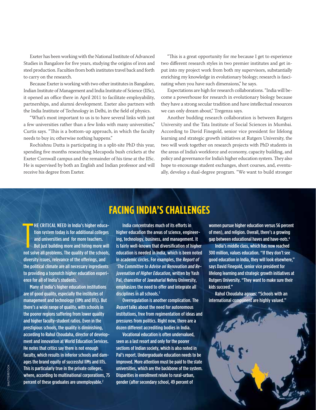Exeter has been working with the National Institute of Advanced Studies in Bangalore for five years, studying the origins of iron and steel production. Faculties from both institutes travel back and forth to carry on the research.

Because Exeter is working with two other institutes in Bangalore, Indian Institute of Management and India Institute of Science (IISc), it opened an office there in April 2011 to facilitate employability, partnerships, and alumni development. Exeter also partners with the India Institute of Technology in Delhi, in the field of physics.

"What's most important to us is to have several links with just a few universities rather than a few links with many universities," Curtis says. "This is a bottom-up approach, in which the faculty needs to buy in; otherwise nothing happens."

Rochishnu Dutta is participating in a split-site PhD this year, spending five months researching Mecapoda bush crickets at the Exeter Cornwall campus and the remainder of his time at the IISc. He is supervised by both an English and Indian professor and will receive his degree from Exeter.

"This is a great opportunity for me because I get to experience two different research styles in two premier institutes and get input into my project work from both my supervisors, substantially enriching my knowledge in evolutionary biology; research is fascinating when you have such dimensions," he says.

Expectations are high for research collaborations. "India will become a powerhouse for research in evolutionary biology because they have a strong secular tradition and have intellectual resources we can only dream about," Tregenza says.

Another budding research collaboration is between Rutgers University and the Tata Institute of Social Sciences in Mumbai. According to David Finegold, senior vice president for lifelong learning and strategic growth initiatives at Rutgers University, the two will work together on research projects with PhD students in the areas of India's workforce and economy, capacity building, and policy and governance for India's higher education system. They also hope to encourage student exchanges, short courses, and, eventually, develop a dual-degree program. "We want to build stronger

## **Facing India's Challenges**

THE CRITICAL NEED in India's higher education system today is for additional colleges<br>and universities and for more teachers.<br>But just building more and hiring more will<br>not solve all problems. The quality of the schools, **HE CRITICAL NEED in India's higher educa**tion system today is for additional colleges and universities and for more teachers. But just building more and hiring more will diversity issues, relevance of the offerings, and the political climate are all necessary ingredients to providing a topnotch higher education experience for all of India's students.

Many of India's higher education institutions are of good quality, especially the institutes of management and technology (IIMs and IITs). But there's a wide range of quality, with schools in the poorer regions suffering from lower quality and higher faculty-student ratios. Even in the prestigious schools, the quality is diminishing, according to Rahul Choudaha, director of development and innovation at World Education Services. He notes that critics say there is not enough faculty, which results in inferior schools and damages the brand equity of successful IIMs and IITs. This is particularly true in the private colleges, where, according to multinational corporations, 75 percent of these graduates are unemployable.<sup>2</sup>

India concentrates much of its efforts in higher education the areas of science, engineering, technology, business, and management. It is fairly well-known that diversification of higher education is needed in India, which is been noted in academic circles. For examples, the Report of 'The Committee to Advise on Renovation and Rejuvenation of Higher Education, written by Yash Pal, chancellor of Jawaharlal Nehru University, emphasizes the need to offer and integrate all disciplines in all schools.<sup>3</sup>

Overregulation is another complication. The Report talks about the need for autonomous institutions, free from regimentation of ideas and pressures from politics. Right now, there are a dozen different accrediting bodies in India.

Vocational education is often undervalued, seen as a last resort and only for the poorer sections of Indian society, which is also noted in Pal's report. Undergraduate education needs to be improved. More attention must be paid to the state universities, which are the backbone of the system. Disparities in enrollment relate to rural-urban, gender (after secondary school, 49 percent of

women pursue higher education versus 56 percent of men), and religion. Overall, there's a growing gap between educational haves and have-nots.4

India's middle class, which has now reached 300 million, values education. "If they don't see good education in India, they will look elsewhere," says David Finegold, senior vice president for lifelong learning and strategic growth initiatives at Rutgers University. "They want to make sure their kids succeed."

Rahul Choudaha agrees: "Schools with an international component are highly valued."

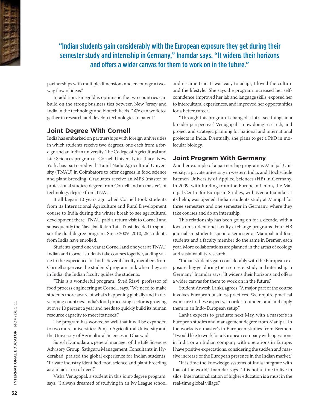"Indian students gain considerably with the European exposure they get during their semester study and internship in Germany," Inamdar says. "It widens their horizons and offers a wider canvas for them to work on in the future."

partnerships with multiple dimensions and encourage a twoway flow of ideas."

In addition, Finegold is optimistic the two countries can build on the strong business ties between New Jersey and India in the technology and biotech fields. "We can work together in research and develop technologies to patent."

#### **Joint Degree With Cornell**

India has embarked on partnerships with foreign universities in which students receive two degrees, one each from a foreign and an Indian university. The College of Agricultural and Life Sciences program at Cornell University in Ithaca, New York, has partnered with Tamil Nadu Agricultural University (TNAU) in Coimbatore to offer degrees in food science and plant breeding. Graduates receive an MPS (master of professional studies) degree from Cornell and an master's of technology degree from TNAU.

It all began 10 years ago when Cornell took students from its International Agriculture and Rural Development course to India during the winter break to see agricultural development there. TNAU paid a return visit to Cornell and subsequently the Navajbai Ratan Tata Trust decided to sponsor the dual-degree program. Since 2009–2010, 25 students from India have enrolled.

Students spend one year at Cornell and one year at TNAU. Indian and Cornell students take courses together, adding value to the experience for both. Several faculty members from Cornell supervise the students' program and, when they are in India, the Indian faculty guides the students.

"This is a wonderful program," Syed Rizvi, professor of food process engineering at Cornell, says. "We need to make students more aware of what's happening globally and in developing countries. India's food processing sector is growing at over 10 percent a year and needs to quickly build its human resource capacity to meet its needs."

The program has worked so well that it will be expanded to two more universities: Punjab Agricultural University and the University of Agricultural Sciences in Dharwad.

Suresh Damodaran, general manager of the Life Sciences Advisory Group, Sathguru Management Consultants in Hyderabad, praised the global experience for Indian students. "Private industry identified food science and plant breeding as a major area of need."

Visha Venugopal, a student in this joint-degree program, says, "I always dreamed of studying in an Ivy League school and it came true. It was easy to adapt; I loved the culture and the lifestyle." She says the program increased her selfconfidence, improved her lab and language skills, exposed her to intercultural experiences, and improved her opportunities for a better career.

"Through this program I changed a lot; I see things in a broader perspective." Venugopal is now doing research, and project and strategic planning for national and international projects in India. Eventually, she plans to get a PhD in molecular biology.

#### **Joint Program With Germany**

Another example of a partnership program is Manipal University, a private university in western India, and Hochschule Bremen University of Applied Sciences (HB) in Germany. In 2009, with funding from the European Union, the Manipal Centre for European Studies, with Neeta Inamdar at its helm, was opened. Indian students study at Manipal for three semesters and one semester in Germany, where they take courses and do an internship.

This relationship has been going on for a decade, with a focus on student and faculty exchange programs. Four HB journalism students spend a semester at Manipal and four students and a faculty member do the same in Bremen each year. More collaborations are planned in the areas of ecology and sustainability research.

"Indian students gain considerably with the European exposure they get during their semester study and internship in Germany," Inamdar says. "It widens their horizons and offers a wider canvas for them to work on in the future."

Student Anvesh Lanka agrees. "A major part of the course involves European business practices. We require practical exposure to these aspects, in order to understand and apply them in an Indo-European setup."

Lanka expects to graduate next May, with a master's in European studies and management degree from Manipal. In the works is a master's in European studies from Bremen. "I would like to work for a European company with operations in India or an Indian company with operations in Europe. I have positive expectations, considering the sudden and massive increase of the European presence in the Indian market."

"It is time the knowledge systems of India integrate with that of the world," Inamdar says. "It is not a time to live in silos. Internationalization of higher education is a must in the real-time global village." silos. Internationalization of higher education is a must in the

INTERNATIONAL EDUCATOR NOV+DEC.11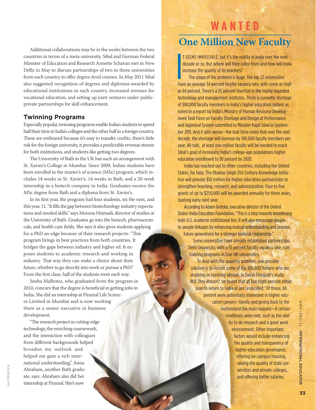Additional collaborations may be in the works between the two countries in terms of a meta-university. Sibal and German Federal Minister of Education and Research Annette Schavan met in New Delhi in May to discuss partnerships of two to three universities from each country to offer degree-level courses. In May 2011 Sibal also suggested recognition of degrees and diplomas awarded by educational institutions in each country, increased avenues for vocational education, and setting up joint ventures under publicprivate partnerships for skill enhancement.

### **Twinning Programs**

Especially popular, twinning programs enable Indian students to spend half their time in India's colleges and the other half in a foreign country. These are embraced because it's easy to transfer credits, there's little risk for the foreign university, it provides a predictable revenue stream for both institutions, and students like getting two degrees.

The University of Bath in the UK has such an arrangement with St. Xavier's College in Mumbai. Since 2009, Indian students have been enrolled in the master's of science (MSc) program, which includes 14 weeks in St. Xavier's, 14 weeks in Bath, and a 20-week internship in a biotech company in India. Graduates receive the MSc degree from Bath and a diploma from St. Xavier's.

In its first year, the program had four students, six the next, and this year, 11. "It fills the gap between biotechnology industry expectations and needed skills," says Momna Hejmadi, director of studies at the University of Bath. Graduates go into the biotech, pharmaceuticals, and health care fields. She says it also gives students applying for a PhD an edge because of their research projects: "This program brings in best practices from both countries. It bridges the gaps between industry and higher ed. It exposes students to academic research and working in industry. That way they can make a choice about their future, whether to go directly into work or pursue a PhD." From the first class, half of the students went each way.

Sneha Malhotra, who graduated from the program in 2010, concurs that the degree is beneficial in getting jobs in India. She did an internship at Piramal Life Sciences Limited in Mumbai and is now working there as a senior executive in business development.

"The research project in cutting-edge technology, the enriching coursework, and the interaction with colleagues from different backgrounds helped broaden my outlook and helped me gain a rich international understanding," Anna Abraham, another Bath graduate, says. Abraham also did her internship at Piramal. She's now

shutterstock

SHUTTERSTOCK

## **W ant e d**

## **One Million New Faculty**

I SEEMS IMPOSSIBLE, but it's the reality in India over the next<br>decade or so. But where will they come from and how will India<br>increase the quality of its teachers?<br>The scope of the problem is huge. The top 22 universities t seems impossible, but it's the reality in India over the next decade or so. But where will they come from and how will India increase the quality of its teachers?

The scope of the problem is huge. The top 22 universities as 84 percent. There's a 25 percent shortfall in the highly regarded technology and management institutes. There is currently shortage of 300,000 faculty members in India's higher education system as noted in a report by India's Ministry of Human Resource Development Task Force on Faculty Shortage and Design of Performance and Appraisal System submitted to Minister Kapil Sibal in September 2011. And it gets worse—the task force notes that over the next decade, the shortage will increase by 100,000 faculty members per year. All told, at least one million faculty will be needed to reach Sibal's goal of increasing India's college-age populations higher education enrollment to 30 percent by 2020.

India has reached out to other countries, including the United States, for help. The Obama-Singh 21st Century Knowledge Initiative will provide \$10 million for higher education partnerships to strengthen teaching, research, and administration. Four to five grants of up to \$250,000 will be awarded annually for three years, starting early next year.

According to Adam Grotsky, executive director of the United States-India Education Foundation, "This is a step towards broadening Indo-U.S. academic institutional ties. It will also encourage peopleto-people linkages by enhancing mutual understanding and prepare future generations for a stronger bilateral relationship."

Some universities have already established partnerships. Delhi University, with a 51 percent faculty vacancy rate, runs training programs in four UK universities.

To deal with the quantity problem, one possible solution is to recruit some of the 100,000 Indians who are studying or teaching abroad. In David Finegold's study, *Will They Return?*, he found that all but eight percent either plan to return to India or are undecided.<sup>7</sup> Of those, 84 percent were potentially interested in higher education careers—family and giving back to the motherland the main reasons—if certain conditions were met, such as the ability to do research and a good work environment. Other important factors would include enhancing the quality and transparency of higher education governance, offering on-campus housing, raising the quality of state universities and private colleges, and offering better salaries.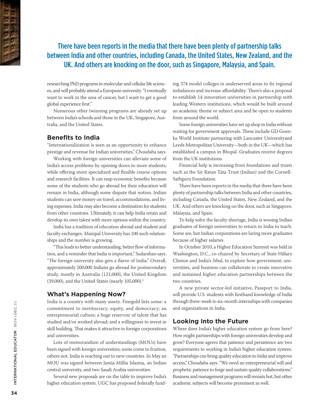There have been reports in the media that there have been plenty of partnership talks between India and other countries, including Canada, the United States, New Zealand, and the UK. And others are knocking on the door, such as Singapore, Malaysia, and Spain.

researching PhD programs in molecular and cellular life sciences, and will probably attend a European university. "I eventually want to work in the area of cancer, but I want to get a good global experience first."

Numerous other twinning programs are already set up between India's schools and those in the UK, Singapore, Australia, and the United States.

#### **Benefits to India**

"Internationalization is seen as an opportunity to enhance prestige and revenue for Indian universities," Choudaha says.

Working with foreign universities can alleviate some of India's access problems by opening doors to more students, while offering more specialized and flexible course options and research facilities. It can reap economic benefits because some of the students who go abroad for their education will remain in India, although some dispute that notion. Indian students can save money on travel, accommodations, and living expenses. India may also become a destination for students from other countries. Ultimately, it can help India retain and develop its own talent with more options within the country.

India has a tradition of education abroad and student and faculty exchanges. Manipal University has 100 such relationships and the number is growing.

"This leads to better understanding, better flow of information, and a reminder that India is important," Sudarshan says. "The foreign university also gets a flavor of India." Overall, approximately 200,000 Indians go abroad for postsecondary study, mostly in Australia (121,000), the United Kingdom (39,000), and the United States (nearly 105,000).5

#### **What's Happening Now?**

India is a country with many assets. Finegold lists some: a commitment to meritocracy, equity, and democracy; an entrepreneurial culture; a huge reservoir of talent that has studied and/or worked abroad; and a willingness to invest in skill building. That makes it attractive to foreign corporations and universities.

Lots of memorandum of understandings (MOUs) have been signed with foreign universities; some come to fruition, others not. India is reaching out to new countries. In May an MOU was signed between Jamia Millia Islamia, an Indian central university, and two Saudi Arabia universities.

Several new proposals are on the table to improve India's higher education system. UGC has proposed federally funding 374 model colleges in underserved areas to fix regional imbalances and increase affordability. There's also a proposal to establish 14 innovation universities in partnership with leading Western institutions, which would be built around an academic theme or subject area and be open to students from around the world.

Some foreign universities have set up shop in India without waiting for government approvals. These include GD Goenka World Institute partnering with Lancaster Universityand Leeds Metropolitan University—both in the UK—which has established a campus in Bhopal. Graduates receive degrees from the UK institutions.

Financial help is increasing from foundations and trusts such as the Sir Ratan Tata Trust (Indian) and the Cornell-Sathguru Foundation.

There have been reports in the media that there have been plenty of partnership talks between India and other countries, including Canada, the United States, New Zealand, and the UK. And others are knocking on the door, such as Singapore, Malaysia, and Spain.

To help solve the faculty shortage, India is wooing Indian graduates of foreign universities to return to India to teach. Some are, but Indian corporations are luring more graduates because of higher salaries.

In October 2010, a Higher Education Summit was held in Washington, D.C., co-chaired by Secretary of State Hillary Clinton and India's Sibal, to explore how government, universities, and business can collaborate to create innovative and sustained higher education partnerships between the two countries.

A new private sector-led initiative, Passport to India, will provide U.S. students with firsthand knowledge of India through three-week to six-month internships with companies and organizations in India.

#### **Looking Into the Future**

Where does India's higher education system go from here? How might partnerships with foreign universities develop and grow? Everyone agrees that patience and persistence are two requirements to working in India's higher education system. "Partnerships can bring quality education to India and improve access," Choudaha says. "We need an entrepreneurial will and prophetic patience to forge and sustain quality collaborations." Business and management programs will remain hot, but other academic subjects will become prominent as well.